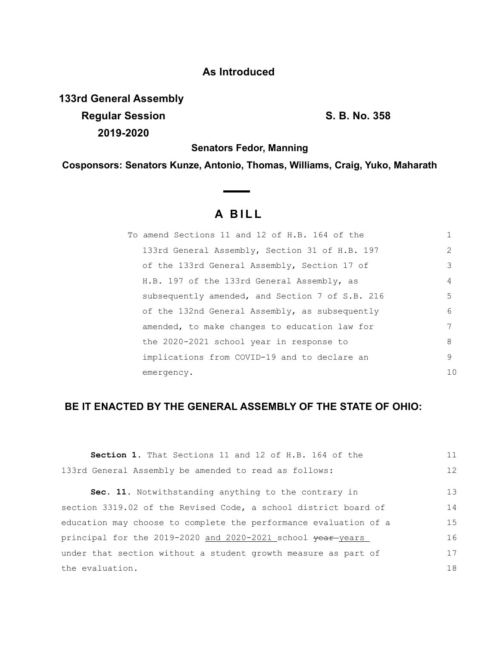## **As Introduced**

**133rd General Assembly Regular Session S. B. No. 358 2019-2020**

**Senators Fedor, Manning**

**Cosponsors: Senators Kunze, Antonio, Thomas, Williams, Craig, Yuko, Maharath**

## **A B I L L**

**Contract Contract Contract** 

|                                                                                                                                                                                                                                                                                                                                                                                                                                                  | 1              |
|--------------------------------------------------------------------------------------------------------------------------------------------------------------------------------------------------------------------------------------------------------------------------------------------------------------------------------------------------------------------------------------------------------------------------------------------------|----------------|
| To amend Sections 11 and 12 of H.B. 164 of the<br>133rd General Assembly, Section 31 of H.B. 197<br>of the 133rd General Assembly, Section 17 of<br>H.B. 197 of the 133rd General Assembly, as<br>subsequently amended, and Section 7 of S.B. 216<br>of the 132nd General Assembly, as subsequently<br>amended, to make changes to education law for<br>the 2020-2021 school year in response to<br>implications from COVID-19 and to declare an | $\overline{2}$ |
|                                                                                                                                                                                                                                                                                                                                                                                                                                                  | 3              |
|                                                                                                                                                                                                                                                                                                                                                                                                                                                  | 4              |
|                                                                                                                                                                                                                                                                                                                                                                                                                                                  | 5              |
|                                                                                                                                                                                                                                                                                                                                                                                                                                                  | 6              |
|                                                                                                                                                                                                                                                                                                                                                                                                                                                  | 7              |
|                                                                                                                                                                                                                                                                                                                                                                                                                                                  | 8              |
|                                                                                                                                                                                                                                                                                                                                                                                                                                                  | 9              |
| emergency.                                                                                                                                                                                                                                                                                                                                                                                                                                       | 10             |

## **BE IT ENACTED BY THE GENERAL ASSEMBLY OF THE STATE OF OHIO:**

| Section 1. That Sections 11 and 12 of H.B. 164 of the            | 11 |
|------------------------------------------------------------------|----|
|                                                                  |    |
| 133rd General Assembly be amended to read as follows:            | 12 |
| Sec. 11. Notwithstanding anything to the contrary in             | 13 |
| section 3319.02 of the Revised Code, a school district board of  | 14 |
| education may choose to complete the performance evaluation of a | 15 |
| principal for the 2019-2020 and 2020-2021 school vear-years      | 16 |
| under that section without a student growth measure as part of   | 17 |
| the evaluation.                                                  | 18 |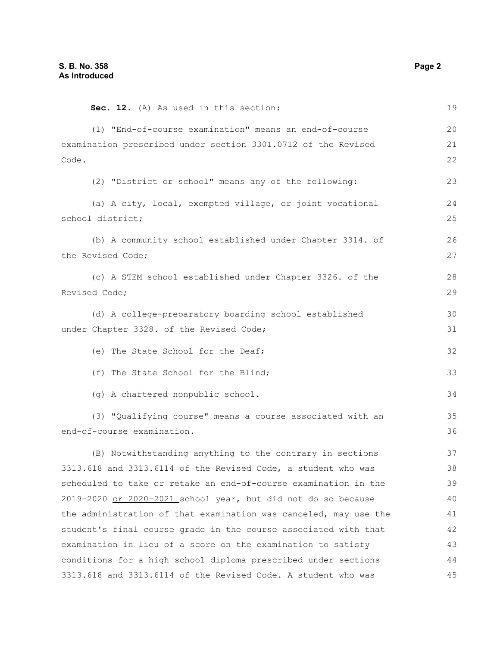| Sec. 12. (A) As used in this section:                            | 19 |
|------------------------------------------------------------------|----|
| (1) "End-of-course examination" means an end-of-course           | 20 |
| examination prescribed under section 3301.0712 of the Revised    | 21 |
| Code.                                                            | 22 |
| (2) "District or school" means any of the following:             | 23 |
| (a) A city, local, exempted village, or joint vocational         | 24 |
| school district;                                                 | 25 |
| (b) A community school established under Chapter 3314. of        | 26 |
| the Revised Code;                                                | 27 |
| (c) A STEM school established under Chapter 3326. of the         | 28 |
| Revised Code;                                                    | 29 |
| (d) A college-preparatory boarding school established            | 30 |
| under Chapter 3328. of the Revised Code;                         | 31 |
| (e) The State School for the Deaf;                               | 32 |
| (f) The State School for the Blind;                              | 33 |
| (g) A chartered nonpublic school.                                | 34 |
| (3) "Qualifying course" means a course associated with an        | 35 |
| end-of-course examination.                                       | 36 |
| (B) Notwithstanding anything to the contrary in sections         | 37 |
| 3313.618 and 3313.6114 of the Revised Code, a student who was    | 38 |
| scheduled to take or retake an end-of-course examination in the  | 39 |
| 2019-2020 or 2020-2021 school year, but did not do so because    | 40 |
| the administration of that examination was canceled, may use the | 41 |
| student's final course grade in the course associated with that  | 42 |
| examination in lieu of a score on the examination to satisfy     | 43 |
| conditions for a high school diploma prescribed under sections   | 44 |
| 3313.618 and 3313.6114 of the Revised Code. A student who was    | 45 |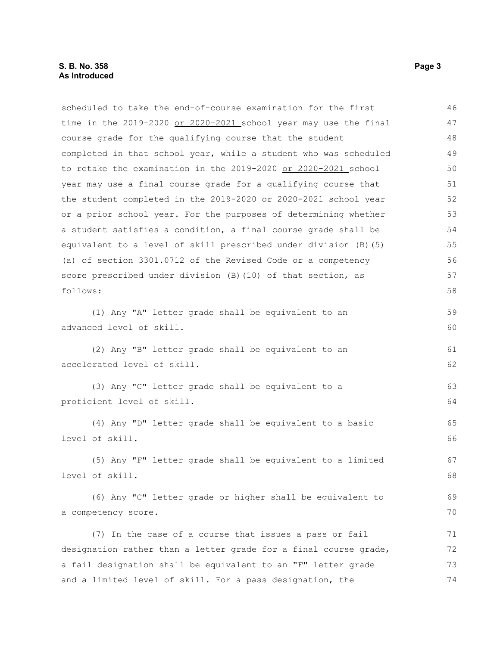scheduled to take the end-of-course examination for the first time in the 2019-2020 or 2020-2021 school year may use the final course grade for the qualifying course that the student completed in that school year, while a student who was scheduled to retake the examination in the 2019-2020 or 2020-2021 school year may use a final course grade for a qualifying course that the student completed in the 2019-2020 or 2020-2021 school year or a prior school year. For the purposes of determining whether a student satisfies a condition, a final course grade shall be equivalent to a level of skill prescribed under division (B)(5) (a) of section 3301.0712 of the Revised Code or a competency score prescribed under division (B)(10) of that section, as follows: (1) Any "A" letter grade shall be equivalent to an advanced level of skill. 46 47 48 49 50 51 52 53 54 55 56 57 58 59 60

(2) Any "B" letter grade shall be equivalent to an accelerated level of skill.

```
(3) Any "C" letter grade shall be equivalent to a
proficient level of skill.
```
(4) Any "D" letter grade shall be equivalent to a basic level of skill.

(5) Any "F" letter grade shall be equivalent to a limited level of skill. 67 68

(6) Any "C" letter grade or higher shall be equivalent to a competency score. 70

(7) In the case of a course that issues a pass or fail designation rather than a letter grade for a final course grade, a fail designation shall be equivalent to an "F" letter grade and a limited level of skill. For a pass designation, the 71 72 73 74

61 62

63 64

65 66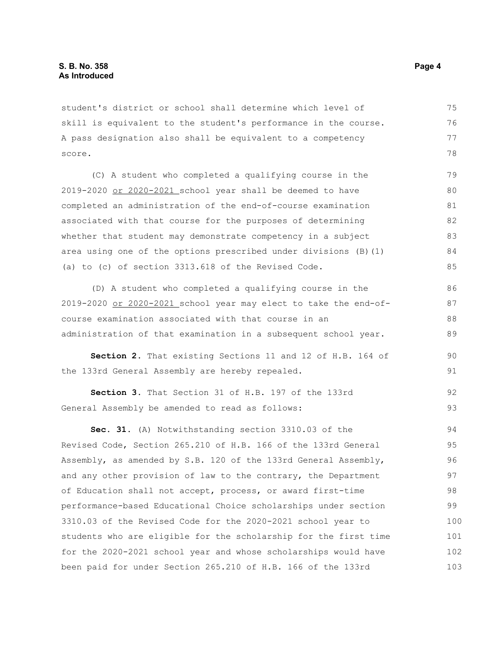student's district or school shall determine which level of skill is equivalent to the student's performance in the course. A pass designation also shall be equivalent to a competency score.

(C) A student who completed a qualifying course in the 2019-2020 or 2020-2021 school year shall be deemed to have completed an administration of the end-of-course examination associated with that course for the purposes of determining whether that student may demonstrate competency in a subject area using one of the options prescribed under divisions (B)(1) (a) to (c) of section 3313.618 of the Revised Code. 79 80 81 82 83 84 85

(D) A student who completed a qualifying course in the 2019-2020 or 2020-2021 school year may elect to take the end-ofcourse examination associated with that course in an administration of that examination in a subsequent school year. 86 87 88 89

**Section 2.** That existing Sections 11 and 12 of H.B. 164 of the 133rd General Assembly are hereby repealed.

**Section 3.** That Section 31 of H.B. 197 of the 133rd General Assembly be amended to read as follows: 92 93

**Sec. 31.** (A) Notwithstanding section 3310.03 of the Revised Code, Section 265.210 of H.B. 166 of the 133rd General Assembly, as amended by S.B. 120 of the 133rd General Assembly, and any other provision of law to the contrary, the Department of Education shall not accept, process, or award first-time performance-based Educational Choice scholarships under section 3310.03 of the Revised Code for the 2020-2021 school year to students who are eligible for the scholarship for the first time for the 2020-2021 school year and whose scholarships would have been paid for under Section 265.210 of H.B. 166 of the 133rd 94 95 96 97 98 99 100 101 102 103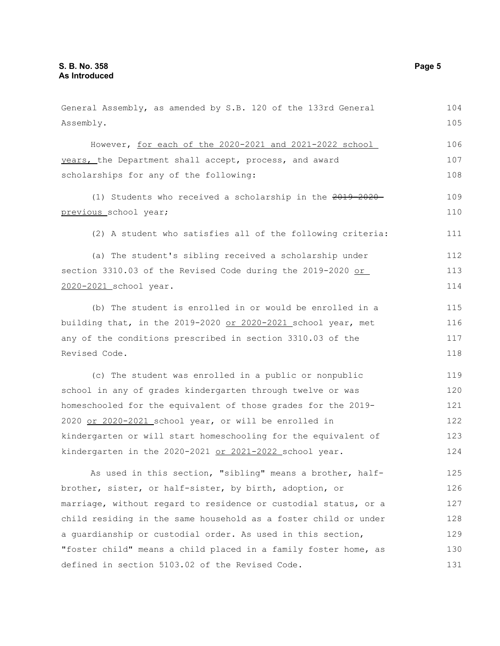General Assembly, as amended by S.B. 120 of the 133rd General Assembly. However, for each of the 2020-2021 and 2021-2022 school years, the Department shall accept, process, and award scholarships for any of the following: (1) Students who received a scholarship in the 2019-2020 previous school year; (2) A student who satisfies all of the following criteria: (a) The student's sibling received a scholarship under section 3310.03 of the Revised Code during the 2019-2020 or 2020-2021 school year. (b) The student is enrolled in or would be enrolled in a building that, in the 2019-2020 or 2020-2021 school year, met any of the conditions prescribed in section 3310.03 of the Revised Code. (c) The student was enrolled in a public or nonpublic school in any of grades kindergarten through twelve or was homeschooled for the equivalent of those grades for the 2019- 2020 or 2020-2021 school year, or will be enrolled in kindergarten or will start homeschooling for the equivalent of kindergarten in the 2020-2021 or 2021-2022 school year. As used in this section, "sibling" means a brother, halfbrother, sister, or half-sister, by birth, adoption, or marriage, without regard to residence or custodial status, or a child residing in the same household as a foster child or under a guardianship or custodial order. As used in this section, "foster child" means a child placed in a family foster home, as defined in section 5103.02 of the Revised Code. 104 105 106 107 108 109 110 111 112 113 114 115 116 117 118 119 120 121 122 123 124 125 126 127 128 129 130 131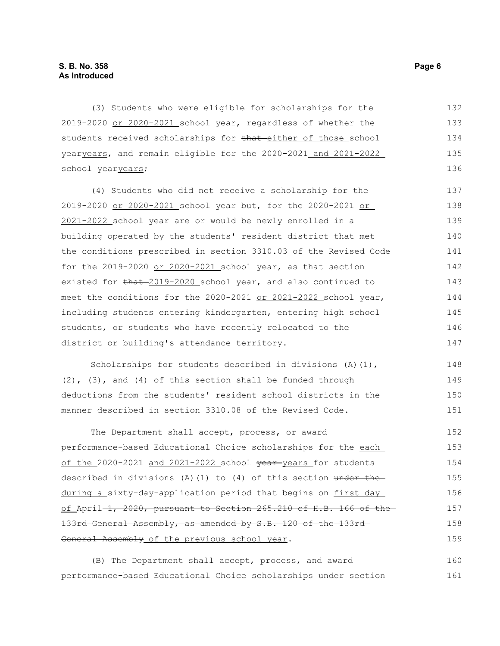(3) Students who were eligible for scholarships for the 2019-2020 or 2020-2021 school year, regardless of whether the students received scholarships for that either of those school yearyears, and remain eligible for the 2020-2021 and 2021-2022 school vearyears; 132 133 134 135 136

(4) Students who did not receive a scholarship for the 2019-2020 or 2020-2021 school year but, for the 2020-2021 or 2021-2022 school year are or would be newly enrolled in a building operated by the students' resident district that met the conditions prescribed in section 3310.03 of the Revised Code for the 2019-2020 or 2020-2021 school year, as that section existed for  $\frac{1}{2019-2020}$  school year, and also continued to meet the conditions for the 2020-2021 or 2021-2022 school year, including students entering kindergarten, entering high school students, or students who have recently relocated to the district or building's attendance territory. 137 138 139 140 141 142 143 144 145 146 147

Scholarships for students described in divisions (A)(1),  $(2)$ ,  $(3)$ , and  $(4)$  of this section shall be funded through deductions from the students' resident school districts in the manner described in section 3310.08 of the Revised Code. 148 149 150 151

The Department shall accept, process, or award performance-based Educational Choice scholarships for the each of the 2020-2021 and 2021-2022 school vear-years for students described in divisions  $(A)$  (1) to (4) of this section under the during a sixty-day-application period that begins on first day of April  $-1$ , 2020, pursuant to Section 265.210 of H.B. 166 of the 133rd General Assembly, as amended by S.B. 120 of the 133rd General Assembly of the previous school year. 152 153 154 155 156 157 158 159

(B) The Department shall accept, process, and award performance-based Educational Choice scholarships under section 160 161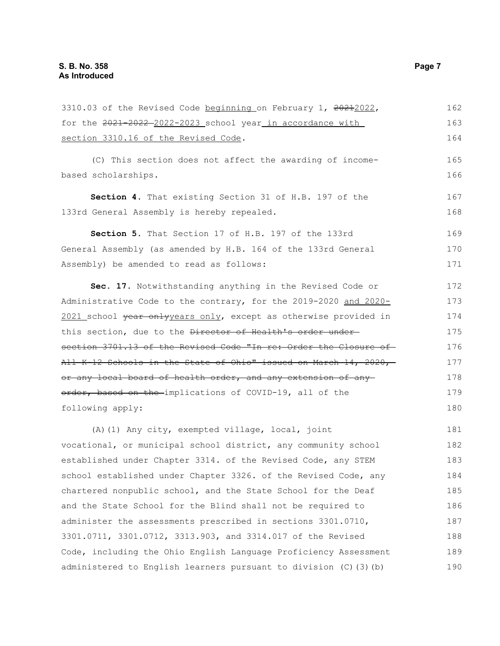3310.03 of the Revised Code beginning on February 1, 20212022, for the 2021-2022-2022-2023 school year in accordance with section 3310.16 of the Revised Code. (C) This section does not affect the awarding of incomebased scholarships. **Section 4.** That existing Section 31 of H.B. 197 of the 133rd General Assembly is hereby repealed. **Section 5.** That Section 17 of H.B. 197 of the 133rd General Assembly (as amended by H.B. 164 of the 133rd General Assembly) be amended to read as follows: **Sec. 17.** Notwithstanding anything in the Revised Code or Administrative Code to the contrary, for the 2019-2020 and 2020- 2021 school year onlyyears only, except as otherwise provided in this section, due to the Director of Health's order undersection 3701.13 of the Revised Code "In re: Order the Closure of All K-12 Schools in the State of Ohio" issued on March 14, 2020, or any local board of health order, and any extension of any order, based on the implications of COVID-19, all of the following apply: (A)(1) Any city, exempted village, local, joint vocational, or municipal school district, any community school established under Chapter 3314. of the Revised Code, any STEM school established under Chapter 3326. of the Revised Code, any chartered nonpublic school, and the State School for the Deaf and the State School for the Blind shall not be required to administer the assessments prescribed in sections 3301.0710, 3301.0711, 3301.0712, 3313.903, and 3314.017 of the Revised Code, including the Ohio English Language Proficiency Assessment 162 163 164 165 166 167 168 169 170 171 172 173 174 175 176 177 178 179 180 181 182 183 184 185 186 187 188 189

administered to English learners pursuant to division (C)(3)(b)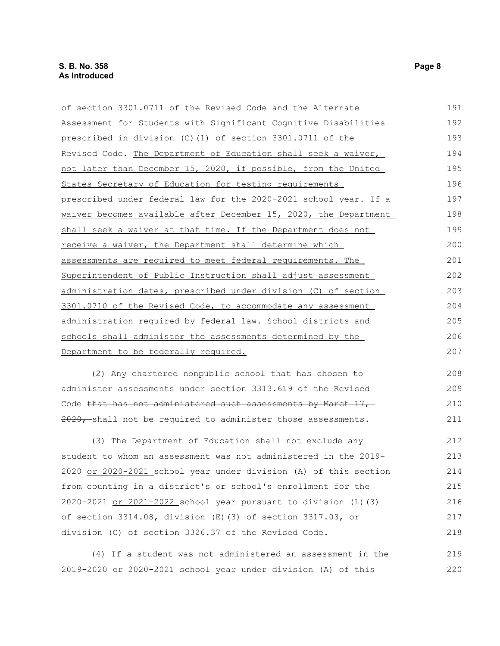| of section 3301.0711 of the Revised Code and the Alternate       | 191 |
|------------------------------------------------------------------|-----|
| Assessment for Students with Significant Cognitive Disabilities  | 192 |
| prescribed in division $(C)$ (1) of section 3301.0711 of the     | 193 |
| Revised Code. The Department of Education shall seek a waiver,   | 194 |
| not later than December 15, 2020, if possible, from the United   | 195 |
| States Secretary of Education for testing requirements           | 196 |
| prescribed under federal law for the 2020-2021 school year. If a | 197 |
| waiver becomes available after December 15, 2020, the Department | 198 |
| shall seek a waiver at that time. If the Department does not     | 199 |
| receive a waiver, the Department shall determine which           |     |
| assessments are required to meet federal requirements. The       | 201 |
| Superintendent of Public Instruction shall adjust assessment     | 202 |
| administration dates, prescribed under division (C) of section   | 203 |
| 3301.0710 of the Revised Code, to accommodate any assessment     | 204 |
| administration required by federal law. School districts and     | 205 |
| schools shall administer the assessments determined by the       | 206 |
| Department to be federally required.                             | 207 |
| (2) Any chartered nonpublic school that has chosen to            | 208 |

administer assessments under section 3313.619 of the Revised Code that has not administered such assessments by March 17, 2020, shall not be required to administer those assessments. 209 210 211

(3) The Department of Education shall not exclude any student to whom an assessment was not administered in the 2019- 2020 or 2020-2021 school year under division (A) of this section from counting in a district's or school's enrollment for the 2020-2021 or 2021-2022 school year pursuant to division (L)(3) of section 3314.08, division (E)(3) of section 3317.03, or division (C) of section 3326.37 of the Revised Code. 212 213 214 215 216 217 218

(4) If a student was not administered an assessment in the 2019-2020 or 2020-2021 school year under division (A) of this 219 220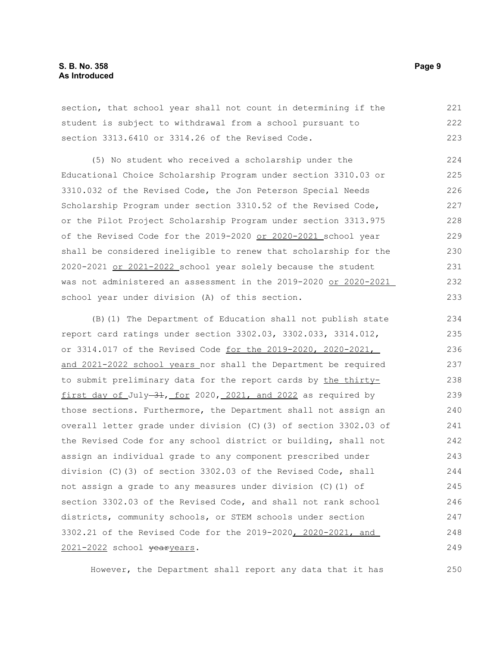section, that school year shall not count in determining if the student is subject to withdrawal from a school pursuant to section 3313.6410 or 3314.26 of the Revised Code. 221 222 223

(5) No student who received a scholarship under the Educational Choice Scholarship Program under section 3310.03 or 3310.032 of the Revised Code, the Jon Peterson Special Needs Scholarship Program under section 3310.52 of the Revised Code, or the Pilot Project Scholarship Program under section 3313.975 of the Revised Code for the 2019-2020 or 2020-2021 school year shall be considered ineligible to renew that scholarship for the 2020-2021 or 2021-2022 school year solely because the student was not administered an assessment in the 2019-2020 or 2020-2021 school year under division (A) of this section. 224 225 226 227 228 229 230 231 232 233

(B)(1) The Department of Education shall not publish state report card ratings under section 3302.03, 3302.033, 3314.012, or 3314.017 of the Revised Code for the 2019-2020, 2020-2021, and 2021-2022 school years nor shall the Department be required to submit preliminary data for the report cards by the thirtyfirst day of July-31, for 2020, 2021, and 2022 as required by those sections. Furthermore, the Department shall not assign an overall letter grade under division (C)(3) of section 3302.03 of the Revised Code for any school district or building, shall not assign an individual grade to any component prescribed under division (C)(3) of section 3302.03 of the Revised Code, shall not assign a grade to any measures under division (C)(1) of section 3302.03 of the Revised Code, and shall not rank school districts, community schools, or STEM schools under section 3302.21 of the Revised Code for the 2019-2020, 2020-2021, and 2021-2022 school vearyears. 234 235 236 237 238 239 240 241 242 243 244 245 246 247 248 249

However, the Department shall report any data that it has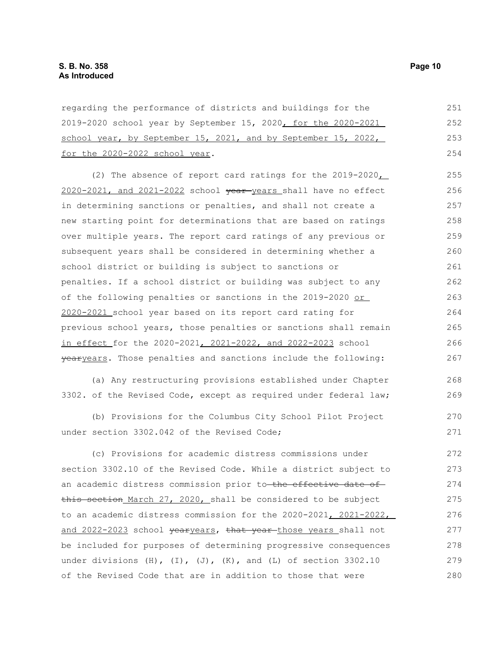| regarding the performance of districts and buildings for the                 | 251 |
|------------------------------------------------------------------------------|-----|
| 2019-2020 school year by September 15, 2020, for the 2020-2021               | 252 |
| school year, by September 15, 2021, and by September 15, 2022,               | 253 |
| for the 2020-2022 school year.                                               | 254 |
| (2) The absence of report card ratings for the 2019-2020                     | 255 |
| 2020-2021, and 2021-2022 school vear-years shall have no effect              | 256 |
| in determining sanctions or penalties, and shall not create a                | 257 |
| new starting point for determinations that are based on ratings              | 258 |
| over multiple years. The report card ratings of any previous or              | 259 |
| subsequent years shall be considered in determining whether a                | 260 |
| school district or building is subject to sanctions or                       | 261 |
| penalties. If a school district or building was subject to any               | 262 |
| of the following penalties or sanctions in the 2019-2020 or                  | 263 |
| 2020-2021 school year based on its report card rating for                    | 264 |
| previous school years, those penalties or sanctions shall remain             | 265 |
| in effect for the 2020-2021, 2021-2022, and 2022-2023 school                 | 266 |
| yearyears. Those penalties and sanctions include the following:              | 267 |
| (a) Any restructuring provisions established under Chapter                   | 268 |
| 3302. of the Revised Code, except as required under federal law;             | 269 |
| (b) Provisions for the Columbus City School Pilot Project                    | 270 |
| under section 3302.042 of the Revised Code;                                  | 271 |
| (c) Provisions for academic distress commissions under                       | 272 |
| section 3302.10 of the Revised Code. While a district subject to             | 273 |
| an academic distress commission prior to the effective date of               | 274 |
| this section March 27, 2020, shall be considered to be subject               | 275 |
| to an academic distress commission for the 2020-2021, 2021-2022,             | 276 |
| and 2022-2023 school yearyears, that year-those years shall not              | 277 |
| be included for purposes of determining progressive consequences             | 278 |
| under divisions $(H)$ , $(I)$ , $(J)$ , $(K)$ , and $(L)$ of section 3302.10 | 279 |

of the Revised Code that are in addition to those that were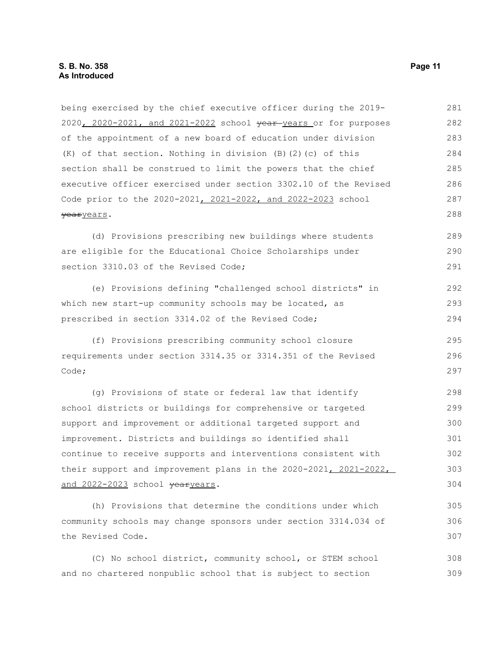| being exercised by the chief executive officer during the 2019-  | 281 |
|------------------------------------------------------------------|-----|
| 2020, 2020-2021, and 2021-2022 school year years or for purposes | 282 |
| of the appointment of a new board of education under division    | 283 |
| (K) of that section. Nothing in division (B) (2) (c) of this     | 284 |
| section shall be construed to limit the powers that the chief    | 285 |
| executive officer exercised under section 3302.10 of the Revised | 286 |
| Code prior to the 2020-2021, 2021-2022, and 2022-2023 school     | 287 |
| yearyears.                                                       | 288 |
| (d) Provisions prescribing new buildings where students          | 289 |
| are eligible for the Educational Choice Scholarships under       | 290 |
| section 3310.03 of the Revised Code;                             | 291 |
| (e) Provisions defining "challenged school districts" in         | 292 |
| which new start-up community schools may be located, as          | 293 |
| prescribed in section 3314.02 of the Revised Code;               | 294 |
| (f) Provisions prescribing community school closure              | 295 |
| requirements under section 3314.35 or 3314.351 of the Revised    | 296 |
| Code;                                                            | 297 |
| (g) Provisions of state or federal law that identify             | 298 |
| school districts or buildings for comprehensive or targeted      | 299 |
| support and improvement or additional targeted support and       | 300 |
| improvement. Districts and buildings so identified shall         | 301 |
| continue to receive supports and interventions consistent with   | 302 |
| their support and improvement plans in the 2020-2021, 2021-2022, | 303 |
| and 2022-2023 school yearyears.                                  | 304 |
| (h) Provisions that determine the conditions under which         | 305 |
| community schools may change sponsors under section 3314.034 of  | 306 |
| the Revised Code.                                                | 307 |
| (C) No school district, community school, or STEM school         | 308 |

(C) No school district, community school, or STEM school and no chartered nonpublic school that is subject to section 308 309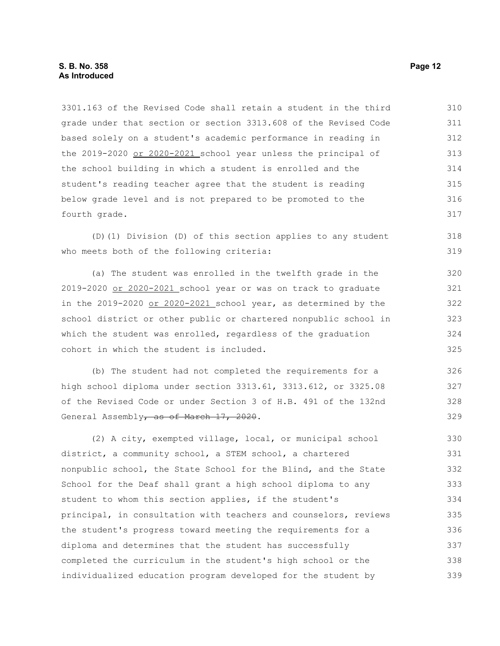3301.163 of the Revised Code shall retain a student in the third grade under that section or section 3313.608 of the Revised Code based solely on a student's academic performance in reading in the 2019-2020 or 2020-2021 school year unless the principal of the school building in which a student is enrolled and the student's reading teacher agree that the student is reading below grade level and is not prepared to be promoted to the fourth grade. 310 311 312 313 314 315 316 317

(D)(1) Division (D) of this section applies to any student who meets both of the following criteria:

(a) The student was enrolled in the twelfth grade in the 2019-2020 or 2020-2021 school year or was on track to graduate in the 2019-2020 or 2020-2021 school year, as determined by the school district or other public or chartered nonpublic school in which the student was enrolled, regardless of the graduation cohort in which the student is included.

(b) The student had not completed the requirements for a high school diploma under section 3313.61, 3313.612, or 3325.08 of the Revised Code or under Section 3 of H.B. 491 of the 132nd General Assembly, as of March 17, 2020.

(2) A city, exempted village, local, or municipal school district, a community school, a STEM school, a chartered nonpublic school, the State School for the Blind, and the State School for the Deaf shall grant a high school diploma to any student to whom this section applies, if the student's principal, in consultation with teachers and counselors, reviews the student's progress toward meeting the requirements for a diploma and determines that the student has successfully completed the curriculum in the student's high school or the individualized education program developed for the student by 330 331 332 333 334 335 336 337 338 339

318 319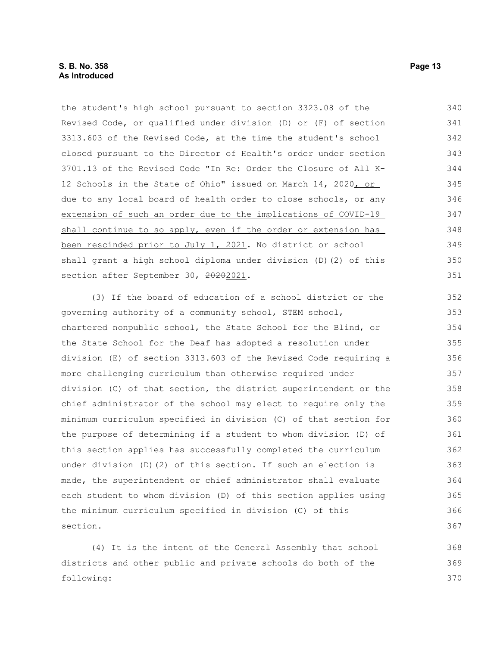following:

| the student's high school pursuant to section 3323.08 of the     | 340 |
|------------------------------------------------------------------|-----|
| Revised Code, or qualified under division (D) or (F) of section  | 341 |
| 3313.603 of the Revised Code, at the time the student's school   | 342 |
| closed pursuant to the Director of Health's order under section  | 343 |
| 3701.13 of the Revised Code "In Re: Order the Closure of All K-  | 344 |
| 12 Schools in the State of Ohio" issued on March 14, 2020, or    | 345 |
| due to any local board of health order to close schools, or any  | 346 |
| extension of such an order due to the implications of COVID-19   | 347 |
| shall continue to so apply, even if the order or extension has   | 348 |
| been rescinded prior to July 1, 2021. No district or school      | 349 |
| shall grant a high school diploma under division (D) (2) of this | 350 |
| section after September 30, 20202021.                            | 351 |
| (3) If the board of education of a school district or the        | 352 |
| governing authority of a community school, STEM school,          | 353 |
| chartered nonpublic school, the State School for the Blind, or   | 354 |
| the State School for the Deaf has adopted a resolution under     | 355 |
| division (E) of section 3313.603 of the Revised Code requiring a | 356 |
| more challenging curriculum than otherwise required under        | 357 |
| division (C) of that section, the district superintendent or the | 358 |
| chief administrator of the school may elect to require only the  | 359 |
| minimum curriculum specified in division (C) of that section for | 360 |
| the purpose of determining if a student to whom division (D) of  | 361 |
| this section applies has successfully completed the curriculum   | 362 |
| under division (D) (2) of this section. If such an election is   | 363 |
| made, the superintendent or chief administrator shall evaluate   | 364 |
| each student to whom division (D) of this section applies using  | 365 |
| the minimum curriculum specified in division (C) of this         | 366 |
| section.                                                         | 367 |
| (4) It is the intent of the General Assembly that school         | 368 |
| districts and other public and private schools do both of the    | 369 |
|                                                                  |     |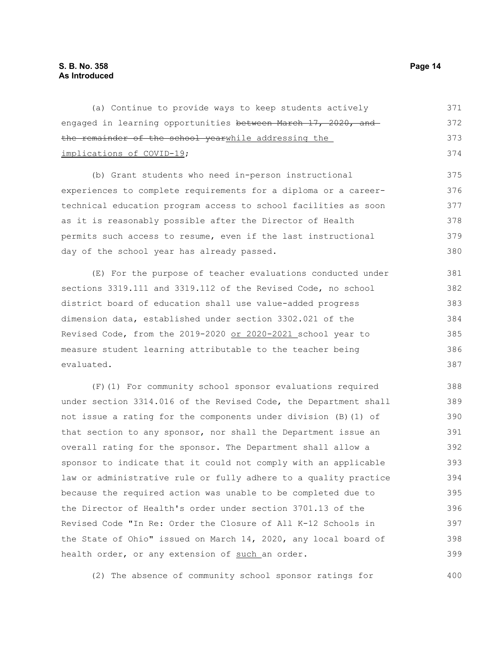(a) Continue to provide ways to keep students actively engaged in learning opportunities between March 17, 2020, and the remainder of the school yearwhile addressing the implications of COVID-19; (b) Grant students who need in-person instructional 371 372 373 374 375

experiences to complete requirements for a diploma or a careertechnical education program access to school facilities as soon as it is reasonably possible after the Director of Health permits such access to resume, even if the last instructional day of the school year has already passed. 376 377 378 379 380

(E) For the purpose of teacher evaluations conducted under sections 3319.111 and 3319.112 of the Revised Code, no school district board of education shall use value-added progress dimension data, established under section 3302.021 of the Revised Code, from the 2019-2020 or 2020-2021 school year to measure student learning attributable to the teacher being evaluated. 381 382 383 384 385 386 387

(F)(1) For community school sponsor evaluations required under section 3314.016 of the Revised Code, the Department shall not issue a rating for the components under division (B)(1) of that section to any sponsor, nor shall the Department issue an overall rating for the sponsor. The Department shall allow a sponsor to indicate that it could not comply with an applicable law or administrative rule or fully adhere to a quality practice because the required action was unable to be completed due to the Director of Health's order under section 3701.13 of the Revised Code "In Re: Order the Closure of All K-12 Schools in the State of Ohio" issued on March 14, 2020, any local board of health order, or any extension of such an order. 388 389 390 391 392 393 394 395 396 397 398 399

(2) The absence of community school sponsor ratings for 400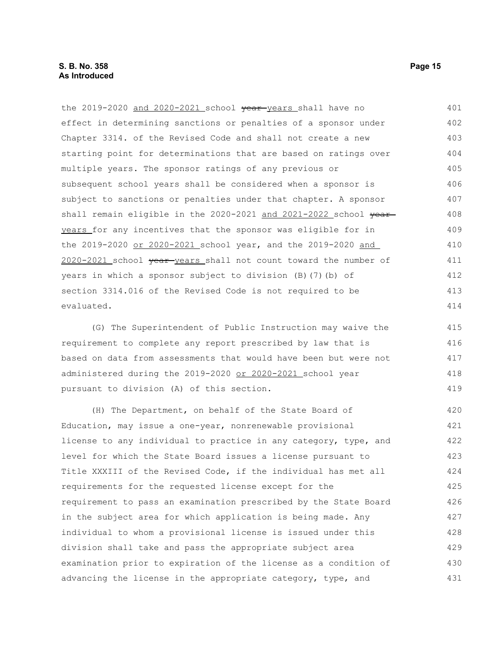the 2019-2020 and 2020-2021 school vear-years shall have no effect in determining sanctions or penalties of a sponsor under Chapter 3314. of the Revised Code and shall not create a new starting point for determinations that are based on ratings over multiple years. The sponsor ratings of any previous or subsequent school years shall be considered when a sponsor is subject to sanctions or penalties under that chapter. A sponsor shall remain eligible in the 2020-2021 and 2021-2022 school yearyears for any incentives that the sponsor was eligible for in the 2019-2020 or 2020-2021 school year, and the 2019-2020 and 2020-2021 school year years shall not count toward the number of years in which a sponsor subject to division (B)(7)(b) of section 3314.016 of the Revised Code is not required to be evaluated. 401 402 403 404 405 406 407 408 409 410 411 412 413 414

(G) The Superintendent of Public Instruction may waive the requirement to complete any report prescribed by law that is based on data from assessments that would have been but were not administered during the 2019-2020 or 2020-2021 school year pursuant to division (A) of this section. 415 416 417 418 419

(H) The Department, on behalf of the State Board of Education, may issue a one-year, nonrenewable provisional license to any individual to practice in any category, type, and level for which the State Board issues a license pursuant to Title XXXIII of the Revised Code, if the individual has met all requirements for the requested license except for the requirement to pass an examination prescribed by the State Board in the subject area for which application is being made. Any individual to whom a provisional license is issued under this division shall take and pass the appropriate subject area examination prior to expiration of the license as a condition of advancing the license in the appropriate category, type, and 420 421 422 423 424 425 426 427 428 429 430 431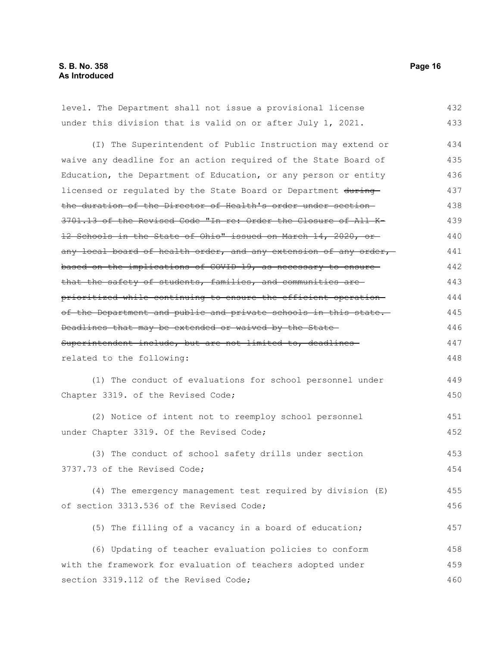| level. The Department shall not issue a provisional license      | 432 |
|------------------------------------------------------------------|-----|
| under this division that is valid on or after July 1, 2021.      | 433 |
| (I) The Superintendent of Public Instruction may extend or       | 434 |
| waive any deadline for an action required of the State Board of  | 435 |
| Education, the Department of Education, or any person or entity  | 436 |
| licensed or regulated by the State Board or Department during    | 437 |
| the duration of the Director of Health's order under section-    | 438 |
| 3701.13 of the Revised Code "In re: Order the Closure of All K-  | 439 |
| 12 Schools in the State of Ohio" issued on March 14, 2020, or-   | 440 |
| any local board of health order, and any extension of any order, | 441 |
| based on the implications of COVID-19, as necessary to ensure-   | 442 |
| that the safety of students, families, and communities are       | 443 |
| prioritized while continuing to ensure the efficient operation-  | 444 |
| of the Department and public and private schools in this state.  | 445 |
| Deadlines that may be extended or waived by the State-           | 446 |
| Superintendent include, but are not limited to, deadlines-       | 447 |
| related to the following:                                        | 448 |
| (1) The conduct of evaluations for school personnel under        | 449 |
| Chapter 3319. of the Revised Code;                               | 450 |
| (2) Notice of intent not to reemploy school personnel            | 451 |
| under Chapter 3319. Of the Revised Code;                         | 452 |
| (3) The conduct of school safety drills under section            | 453 |
| 3737.73 of the Revised Code;                                     | 454 |
| (4) The emergency management test required by division (E)       | 455 |
| of section 3313.536 of the Revised Code;                         | 456 |
| (5) The filling of a vacancy in a board of education;            | 457 |
| (6) Updating of teacher evaluation policies to conform           | 458 |
| with the framework for evaluation of teachers adopted under      | 459 |
| section 3319.112 of the Revised Code;                            | 460 |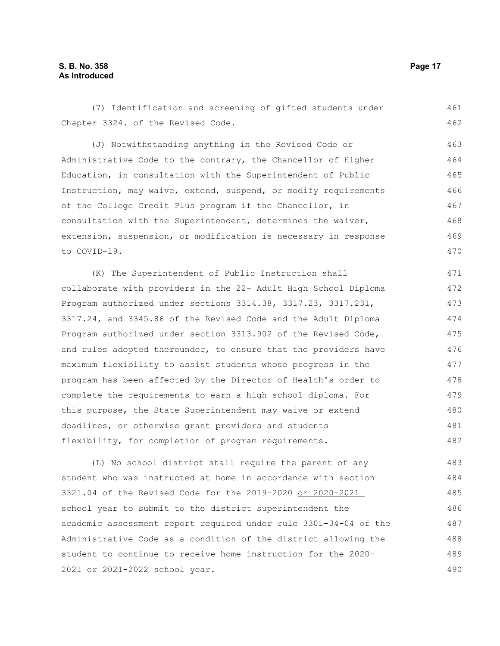Chapter 3324. of the Revised Code. (J) Notwithstanding anything in the Revised Code or Administrative Code to the contrary, the Chancellor of Higher Education, in consultation with the Superintendent of Public Instruction, may waive, extend, suspend, or modify requirements of the College Credit Plus program if the Chancellor, in consultation with the Superintendent, determines the waiver, extension, suspension, or modification is necessary in response to COVID-19. (K) The Superintendent of Public Instruction shall collaborate with providers in the 22+ Adult High School Diploma Program authorized under sections 3314.38, 3317.23, 3317.231, 3317.24, and 3345.86 of the Revised Code and the Adult Diploma Program authorized under section 3313.902 of the Revised Code, and rules adopted thereunder, to ensure that the providers have maximum flexibility to assist students whose progress in the program has been affected by the Director of Health's order to complete the requirements to earn a high school diploma. For this purpose, the State Superintendent may waive or extend deadlines, or otherwise grant providers and students flexibility, for completion of program requirements. (L) No school district shall require the parent of any student who was instructed at home in accordance with section 3321.04 of the Revised Code for the 2019-2020 or 2020-2021 school year to submit to the district superintendent the academic assessment report required under rule 3301-34-04 of the Administrative Code as a condition of the district allowing the student to continue to receive home instruction for the 2020- 462 463 464 465 466 467 468 469 470 471 472 473 474 475 476 477 478 479 480 481 482 483 484 485 486 487 488 489

(7) Identification and screening of gifted students under

2021 or 2021-2022 school year.

461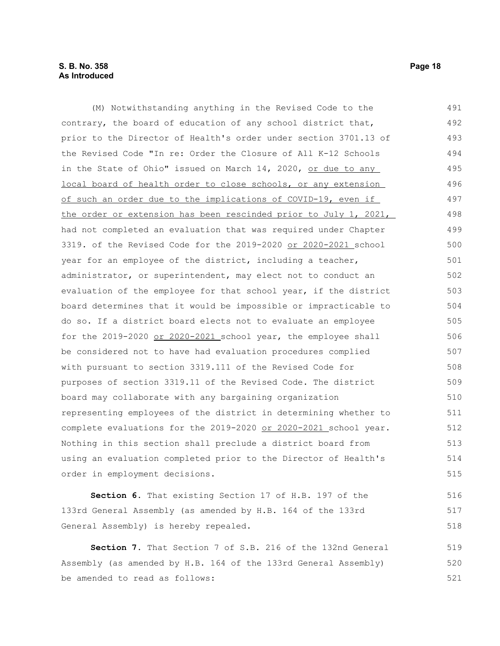## **S. B. No. 358 Page 18 As Introduced**

(M) Notwithstanding anything in the Revised Code to the contrary, the board of education of any school district that, prior to the Director of Health's order under section 3701.13 of the Revised Code "In re: Order the Closure of All K-12 Schools in the State of Ohio" issued on March 14, 2020, or due to any local board of health order to close schools, or any extension of such an order due to the implications of COVID-19, even if the order or extension has been rescinded prior to July 1, 2021, had not completed an evaluation that was required under Chapter 3319. of the Revised Code for the 2019-2020 or 2020-2021 school year for an employee of the district, including a teacher, administrator, or superintendent, may elect not to conduct an evaluation of the employee for that school year, if the district board determines that it would be impossible or impracticable to do so. If a district board elects not to evaluate an employee for the 2019-2020 or 2020-2021 school year, the employee shall be considered not to have had evaluation procedures complied with pursuant to section 3319.111 of the Revised Code for purposes of section 3319.11 of the Revised Code. The district board may collaborate with any bargaining organization representing employees of the district in determining whether to complete evaluations for the 2019-2020 or 2020-2021 school year. Nothing in this section shall preclude a district board from using an evaluation completed prior to the Director of Health's order in employment decisions. **Section 6.** That existing Section 17 of H.B. 197 of the 133rd General Assembly (as amended by H.B. 164 of the 133rd General Assembly) is hereby repealed. **Section 7.** That Section 7 of S.B. 216 of the 132nd General Assembly (as amended by H.B. 164 of the 133rd General Assembly) 491 492 493 494 495 496 497 498 499 500 501 502 503 504 505 506 507 508 509 510 511 512 513 514 515 516 517 518 519 520

be amended to read as follows: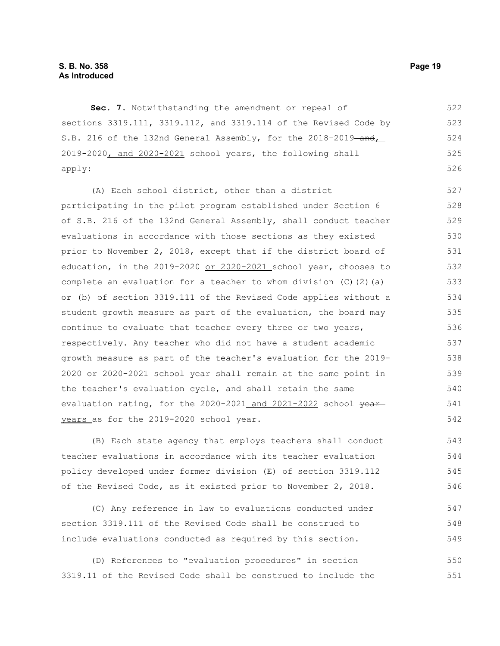**Sec. 7.** Notwithstanding the amendment or repeal of sections 3319.111, 3319.112, and 3319.114 of the Revised Code by S.B. 216 of the 132nd General Assembly, for the 2018-2019-and, 2019-2020, and 2020-2021 school years, the following shall apply: 522 523 524 525 526

(A) Each school district, other than a district participating in the pilot program established under Section 6 of S.B. 216 of the 132nd General Assembly, shall conduct teacher evaluations in accordance with those sections as they existed prior to November 2, 2018, except that if the district board of education, in the 2019-2020 or 2020-2021 school year, chooses to complete an evaluation for a teacher to whom division  $(C)$   $(2)$   $(a)$ or (b) of section 3319.111 of the Revised Code applies without a student growth measure as part of the evaluation, the board may continue to evaluate that teacher every three or two years, respectively. Any teacher who did not have a student academic growth measure as part of the teacher's evaluation for the 2019- 2020 or 2020-2021 school year shall remain at the same point in the teacher's evaluation cycle, and shall retain the same evaluation rating, for the 2020-2021 and 2021-2022 school yearyears as for the 2019-2020 school year. 527 528 529 530 531 532 533 534 535 536 537 538 539 540 541 542

(B) Each state agency that employs teachers shall conduct teacher evaluations in accordance with its teacher evaluation policy developed under former division (E) of section 3319.112 of the Revised Code, as it existed prior to November 2, 2018. 543 544 545 546

(C) Any reference in law to evaluations conducted under section 3319.111 of the Revised Code shall be construed to include evaluations conducted as required by this section. 547 548 549

(D) References to "evaluation procedures" in section 3319.11 of the Revised Code shall be construed to include the 550 551